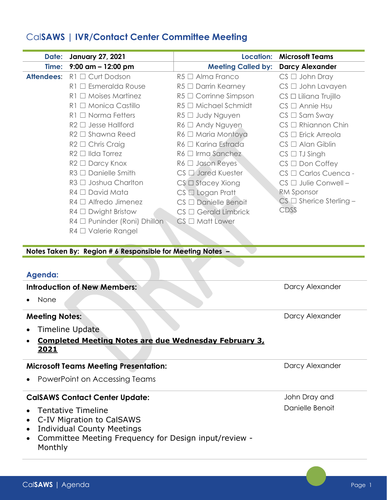# Cal**SAWS | IVR/Contact Center Committee Meeting**

| Date:             | <b>January 27, 2021</b>           | <b>Location:</b>              | <b>Microsoft Teams</b>          |
|-------------------|-----------------------------------|-------------------------------|---------------------------------|
|                   | Time: 9:00 am - 12:00 pm          | <b>Meeting Called by:</b>     | <b>Darcy Alexander</b>          |
| <b>Attendees:</b> | $R1 \square$ Curt Dodson          | $R5 \Box$ Alma Franco         | $CS \Box$ John Dray             |
|                   | $\Box$ Esmeralda Rouse<br>R1      | $R5 \Box$ Darrin Kearney      | $CS \Box$ John Lavayen          |
|                   | $\Box$ Moises Martinez<br>R1.     | $R5 \square$ Corrinne Simpson | $CS \square$ Liliana Trujillo   |
|                   | $R1 \square$ Monica Castillo      | $R5 \square$ Michael Schmidt  | $CS \square$ Annie Hsu          |
|                   | $R1 \Box$ Norma Fetters           | $R5 \Box$ Judy Nguyen         | $CS \square$ Sam Sway           |
|                   | $R2 \Box$ Jesse Hallford          | $R6 \Box$ Andy Nguyen         | $CS \square$ Rhiannon Chin      |
|                   | $R2 \square$ Shawna Reed          | $R6 \Box$ Maria Montoya       | $CS \Box$ Erick Arreola         |
|                   | $R2 \square$ Chris Craig          | $R6 \Box$ Karina Estrada      | $CS \square$ Alan Giblin        |
|                   | $R2 \Box$ IIda Torrez             | $R6 \Box$ Irma Sanchez        | $CS \square$ TJ Singh           |
|                   | $R2 \Box$ Darcy Knox              | $R6 \Box$ Jason Reyes         | $CS \square$ Don Coffey         |
|                   | $R3 \Box$ Danielle Smith          | $CS \Box$ Jared Kuester       | CS □ Carlos Cuenca -            |
|                   | $R3 \Box$ Joshua Charlton         | $CS \square$ Stacey Xiong     | $CS \Box$ Julie Conwell -       |
|                   | $R4 \Box$ David Mata              | $CS \Box$ Logan Pratt         | <b>RM Sponsor</b>               |
|                   | $RA \square$ Alfredo Jimenez      | $CS \Box$ Danielle Benoit     | $CS \square$ Sherice Sterling - |
|                   | $RA \square$ Dwight Bristow       | $CS \Box$ Gerald Limbrick     | CDSS                            |
|                   | $R4 \Box$ Puninder (Roni) Dhillon | $CS \square$ Matt Lower       |                                 |
|                   | R4 □ Valerie Rangel               |                               |                                 |

**Notes Taken By: Region # 6 Responsible for Meeting Notes –** 

### **Agenda:**

#### **Introduction of New Members:**

• None

### **Meeting Notes:**

- Timeline Update
- **Completed Meeting Notes are due Wednesday February 3, 2021**

### **Microsoft Teams Meeting Presentation:**

• PowerPoint on Accessing Teams

### **CalSAWS Contact Center Update:**

- Tentative Timeline
- C-IV Migration to CalSAWS
- Individual County Meetings
- Committee Meeting Frequency for Design input/review Monthly

Darcy Alexander

Darcy Alexander

Darcy Alexander

John Dray and Danielle Benoit